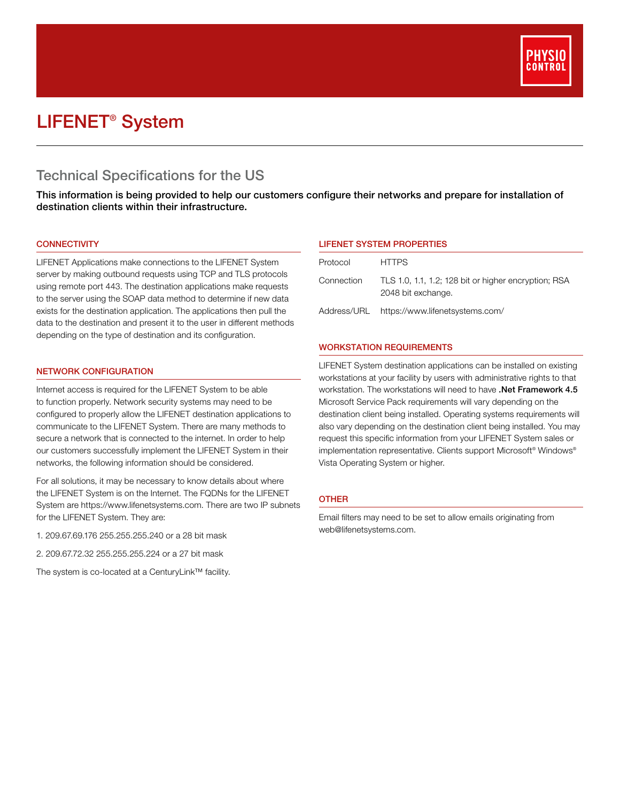

# LIFENET® System

# Technical Specifications for the US

This information is being provided to help our customers configure their networks and prepare for installation of destination clients within their infrastructure.

# **CONNECTIVITY**

LIFENET Applications make connections to the LIFENET System server by making outbound requests using TCP and TLS protocols using remote port 443. The destination applications make requests to the server using the SOAP data method to determine if new data exists for the destination application. The applications then pull the data to the destination and present it to the user in different methods depending on the type of destination and its configuration.

#### NETWORK CONFIGURATION

Internet access is required for the LIFENET System to be able to function properly. Network security systems may need to be configured to properly allow the LIFENET destination applications to communicate to the LIFENET System. There are many methods to secure a network that is connected to the internet. In order to help our customers successfully implement the LIFENET System in their networks, the following information should be considered.

For all solutions, it may be necessary to know details about where the LIFENET System is on the Internet. The FQDNs for the LIFENET System are https://www.lifenetsystems.com. There are two IP subnets for the LIFENET System. They are:

- 1. 209.67.69.176 255.255.255.240 or a 28 bit mask
- 2. 209.67.72.32 255.255.255.224 or a 27 bit mask

The system is co‐located at a CenturyLink™ facility.

# LIFENET SYSTEM PROPERTIES

| Protocol   | <b>HTTPS</b>                                                               |
|------------|----------------------------------------------------------------------------|
| Connection | TLS 1.0, 1.1, 1.2; 128 bit or higher encryption; RSA<br>2048 bit exchange. |
|            | Address/URL https://www.lifenetsystems.com/                                |

#### WORKSTATION REQUIREMENTS

LIFENET System destination applications can be installed on existing workstations at your facility by users with administrative rights to that workstation. The workstations will need to have .Net Framework 4.5 Microsoft Service Pack requirements will vary depending on the destination client being installed. Operating systems requirements will also vary depending on the destination client being installed. You may request this specific information from your LIFENET System sales or implementation representative. Clients support Microsoft® Windows® Vista Operating System or higher.

# OTHER

Email filters may need to be set to allow emails originating from web@lifenetsystems.com.